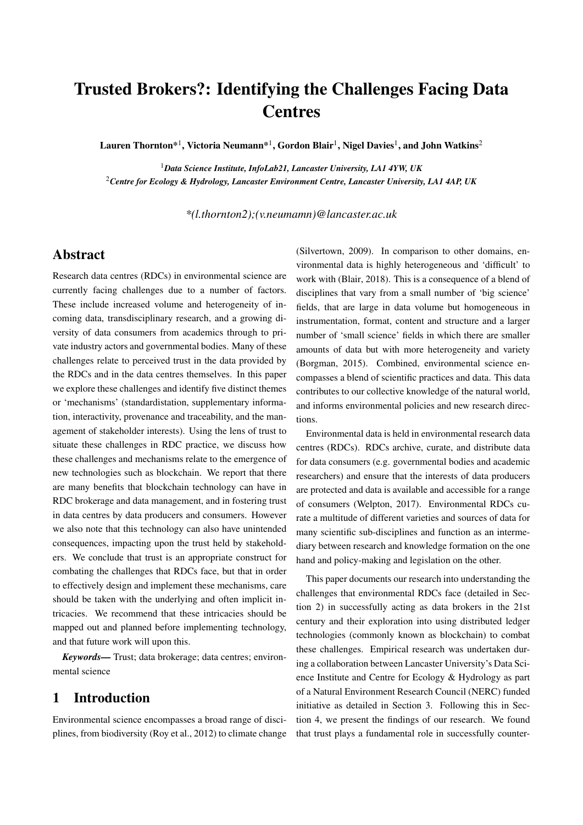# Trusted Brokers?: Identifying the Challenges Facing Data **Centres**

Lauren Thornton $^{\ast1}$ , Victoria Neumann $^{\ast1}$ , Gordon Blair $^1$ , Nigel Davies $^1$ , and John Watkins $^2$ 

<sup>1</sup>*Data Science Institute, InfoLab21, Lancaster University, LA1 4YW, UK* <sup>2</sup>*Centre for Ecology & Hydrology, Lancaster Environment Centre, Lancaster University, LA1 4AP, UK*

*\*(l.thornton2);(v.neumamn)@lancaster.ac.uk*

## Abstract

Research data centres (RDCs) in environmental science are currently facing challenges due to a number of factors. These include increased volume and heterogeneity of incoming data, transdisciplinary research, and a growing diversity of data consumers from academics through to private industry actors and governmental bodies. Many of these challenges relate to perceived trust in the data provided by the RDCs and in the data centres themselves. In this paper we explore these challenges and identify five distinct themes or 'mechanisms' (standardistation, supplementary information, interactivity, provenance and traceability, and the management of stakeholder interests). Using the lens of trust to situate these challenges in RDC practice, we discuss how these challenges and mechanisms relate to the emergence of new technologies such as blockchain. We report that there are many benefits that blockchain technology can have in RDC brokerage and data management, and in fostering trust in data centres by data producers and consumers. However we also note that this technology can also have unintended consequences, impacting upon the trust held by stakeholders. We conclude that trust is an appropriate construct for combating the challenges that RDCs face, but that in order to effectively design and implement these mechanisms, care should be taken with the underlying and often implicit intricacies. We recommend that these intricacies should be mapped out and planned before implementing technology, and that future work will upon this.

*Keywords—* Trust; data brokerage; data centres; environmental science

## 1 Introduction

Environmental science encompasses a broad range of disciplines, from biodiversity (Roy et al., 2012) to climate change (Silvertown, 2009). In comparison to other domains, environmental data is highly heterogeneous and 'difficult' to work with (Blair, 2018). This is a consequence of a blend of disciplines that vary from a small number of 'big science' fields, that are large in data volume but homogeneous in instrumentation, format, content and structure and a larger number of 'small science' fields in which there are smaller amounts of data but with more heterogeneity and variety (Borgman, 2015). Combined, environmental science encompasses a blend of scientific practices and data. This data contributes to our collective knowledge of the natural world, and informs environmental policies and new research directions.

Environmental data is held in environmental research data centres (RDCs). RDCs archive, curate, and distribute data for data consumers (e.g. governmental bodies and academic researchers) and ensure that the interests of data producers are protected and data is available and accessible for a range of consumers (Welpton, 2017). Environmental RDCs curate a multitude of different varieties and sources of data for many scientific sub-disciplines and function as an intermediary between research and knowledge formation on the one hand and policy-making and legislation on the other.

This paper documents our research into understanding the challenges that environmental RDCs face (detailed in Section 2) in successfully acting as data brokers in the 21st century and their exploration into using distributed ledger technologies (commonly known as blockchain) to combat these challenges. Empirical research was undertaken during a collaboration between Lancaster University's Data Science Institute and Centre for Ecology & Hydrology as part of a Natural Environment Research Council (NERC) funded initiative as detailed in Section 3. Following this in Section 4, we present the findings of our research. We found that trust plays a fundamental role in successfully counter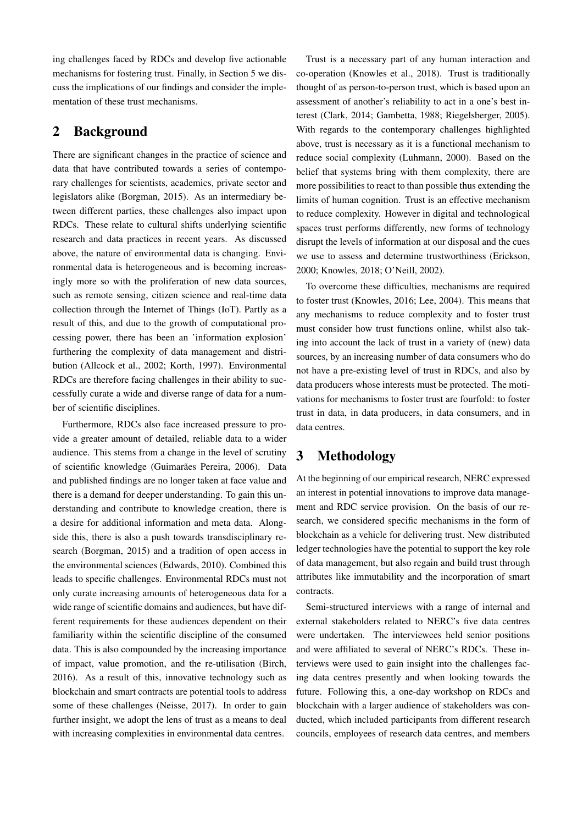ing challenges faced by RDCs and develop five actionable mechanisms for fostering trust. Finally, in Section 5 we discuss the implications of our findings and consider the implementation of these trust mechanisms.

## 2 Background

There are significant changes in the practice of science and data that have contributed towards a series of contemporary challenges for scientists, academics, private sector and legislators alike (Borgman, 2015). As an intermediary between different parties, these challenges also impact upon RDCs. These relate to cultural shifts underlying scientific research and data practices in recent years. As discussed above, the nature of environmental data is changing. Environmental data is heterogeneous and is becoming increasingly more so with the proliferation of new data sources, such as remote sensing, citizen science and real-time data collection through the Internet of Things (IoT). Partly as a result of this, and due to the growth of computational processing power, there has been an 'information explosion' furthering the complexity of data management and distribution (Allcock et al., 2002; Korth, 1997). Environmental RDCs are therefore facing challenges in their ability to successfully curate a wide and diverse range of data for a number of scientific disciplines.

Furthermore, RDCs also face increased pressure to provide a greater amount of detailed, reliable data to a wider audience. This stems from a change in the level of scrutiny of scientific knowledge (Guimarães Pereira, 2006). Data and published findings are no longer taken at face value and there is a demand for deeper understanding. To gain this understanding and contribute to knowledge creation, there is a desire for additional information and meta data. Alongside this, there is also a push towards transdisciplinary research (Borgman, 2015) and a tradition of open access in the environmental sciences (Edwards, 2010). Combined this leads to specific challenges. Environmental RDCs must not only curate increasing amounts of heterogeneous data for a wide range of scientific domains and audiences, but have different requirements for these audiences dependent on their familiarity within the scientific discipline of the consumed data. This is also compounded by the increasing importance of impact, value promotion, and the re-utilisation (Birch, 2016). As a result of this, innovative technology such as blockchain and smart contracts are potential tools to address some of these challenges (Neisse, 2017). In order to gain further insight, we adopt the lens of trust as a means to deal with increasing complexities in environmental data centres.

Trust is a necessary part of any human interaction and co-operation (Knowles et al., 2018). Trust is traditionally thought of as person-to-person trust, which is based upon an assessment of another's reliability to act in a one's best interest (Clark, 2014; Gambetta, 1988; Riegelsberger, 2005). With regards to the contemporary challenges highlighted above, trust is necessary as it is a functional mechanism to reduce social complexity (Luhmann, 2000). Based on the belief that systems bring with them complexity, there are more possibilities to react to than possible thus extending the limits of human cognition. Trust is an effective mechanism to reduce complexity. However in digital and technological spaces trust performs differently, new forms of technology disrupt the levels of information at our disposal and the cues we use to assess and determine trustworthiness (Erickson, 2000; Knowles, 2018; O'Neill, 2002).

To overcome these difficulties, mechanisms are required to foster trust (Knowles, 2016; Lee, 2004). This means that any mechanisms to reduce complexity and to foster trust must consider how trust functions online, whilst also taking into account the lack of trust in a variety of (new) data sources, by an increasing number of data consumers who do not have a pre-existing level of trust in RDCs, and also by data producers whose interests must be protected. The motivations for mechanisms to foster trust are fourfold: to foster trust in data, in data producers, in data consumers, and in data centres.

# 3 Methodology

At the beginning of our empirical research, NERC expressed an interest in potential innovations to improve data management and RDC service provision. On the basis of our research, we considered specific mechanisms in the form of blockchain as a vehicle for delivering trust. New distributed ledger technologies have the potential to support the key role of data management, but also regain and build trust through attributes like immutability and the incorporation of smart contracts.

Semi-structured interviews with a range of internal and external stakeholders related to NERC's five data centres were undertaken. The interviewees held senior positions and were affiliated to several of NERC's RDCs. These interviews were used to gain insight into the challenges facing data centres presently and when looking towards the future. Following this, a one-day workshop on RDCs and blockchain with a larger audience of stakeholders was conducted, which included participants from different research councils, employees of research data centres, and members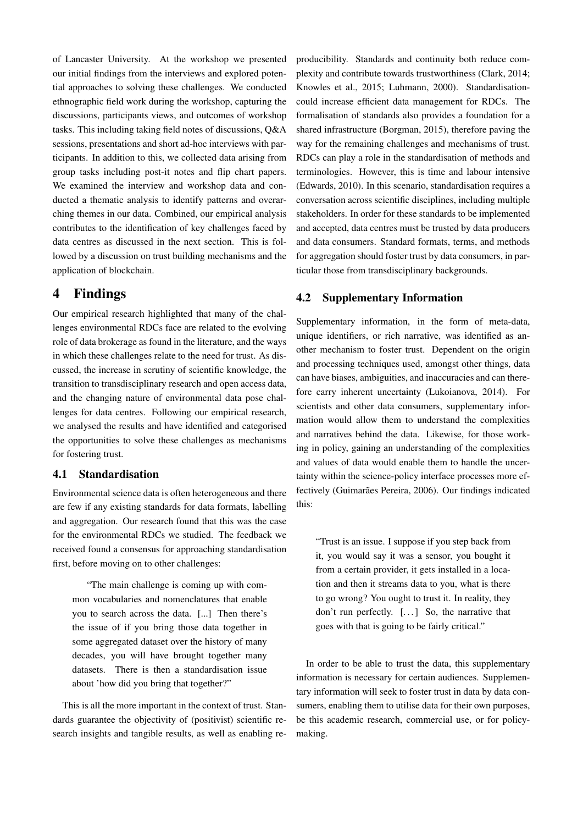of Lancaster University. At the workshop we presented our initial findings from the interviews and explored potential approaches to solving these challenges. We conducted ethnographic field work during the workshop, capturing the discussions, participants views, and outcomes of workshop tasks. This including taking field notes of discussions, Q&A sessions, presentations and short ad-hoc interviews with participants. In addition to this, we collected data arising from group tasks including post-it notes and flip chart papers. We examined the interview and workshop data and conducted a thematic analysis to identify patterns and overarching themes in our data. Combined, our empirical analysis contributes to the identification of key challenges faced by data centres as discussed in the next section. This is followed by a discussion on trust building mechanisms and the application of blockchain.

## 4 Findings

Our empirical research highlighted that many of the challenges environmental RDCs face are related to the evolving role of data brokerage as found in the literature, and the ways in which these challenges relate to the need for trust. As discussed, the increase in scrutiny of scientific knowledge, the transition to transdisciplinary research and open access data, and the changing nature of environmental data pose challenges for data centres. Following our empirical research, we analysed the results and have identified and categorised the opportunities to solve these challenges as mechanisms for fostering trust.

#### 4.1 Standardisation

Environmental science data is often heterogeneous and there are few if any existing standards for data formats, labelling and aggregation. Our research found that this was the case for the environmental RDCs we studied. The feedback we received found a consensus for approaching standardisation first, before moving on to other challenges:

"The main challenge is coming up with common vocabularies and nomenclatures that enable you to search across the data. [...] Then there's the issue of if you bring those data together in some aggregated dataset over the history of many decades, you will have brought together many datasets. There is then a standardisation issue about 'how did you bring that together?"

This is all the more important in the context of trust. Standards guarantee the objectivity of (positivist) scientific research insights and tangible results, as well as enabling reproducibility. Standards and continuity both reduce complexity and contribute towards trustworthiness (Clark, 2014; Knowles et al., 2015; Luhmann, 2000). Standardisationcould increase efficient data management for RDCs. The formalisation of standards also provides a foundation for a shared infrastructure (Borgman, 2015), therefore paving the way for the remaining challenges and mechanisms of trust. RDCs can play a role in the standardisation of methods and terminologies. However, this is time and labour intensive (Edwards, 2010). In this scenario, standardisation requires a conversation across scientific disciplines, including multiple stakeholders. In order for these standards to be implemented and accepted, data centres must be trusted by data producers and data consumers. Standard formats, terms, and methods for aggregation should foster trust by data consumers, in particular those from transdisciplinary backgrounds.

#### 4.2 Supplementary Information

Supplementary information, in the form of meta-data, unique identifiers, or rich narrative, was identified as another mechanism to foster trust. Dependent on the origin and processing techniques used, amongst other things, data can have biases, ambiguities, and inaccuracies and can therefore carry inherent uncertainty (Lukoianova, 2014). For scientists and other data consumers, supplementary information would allow them to understand the complexities and narratives behind the data. Likewise, for those working in policy, gaining an understanding of the complexities and values of data would enable them to handle the uncertainty within the science-policy interface processes more effectively (Guimarães Pereira, 2006). Our findings indicated this:

"Trust is an issue. I suppose if you step back from it, you would say it was a sensor, you bought it from a certain provider, it gets installed in a location and then it streams data to you, what is there to go wrong? You ought to trust it. In reality, they don't run perfectly. [...] So, the narrative that goes with that is going to be fairly critical."

In order to be able to trust the data, this supplementary information is necessary for certain audiences. Supplementary information will seek to foster trust in data by data consumers, enabling them to utilise data for their own purposes, be this academic research, commercial use, or for policymaking.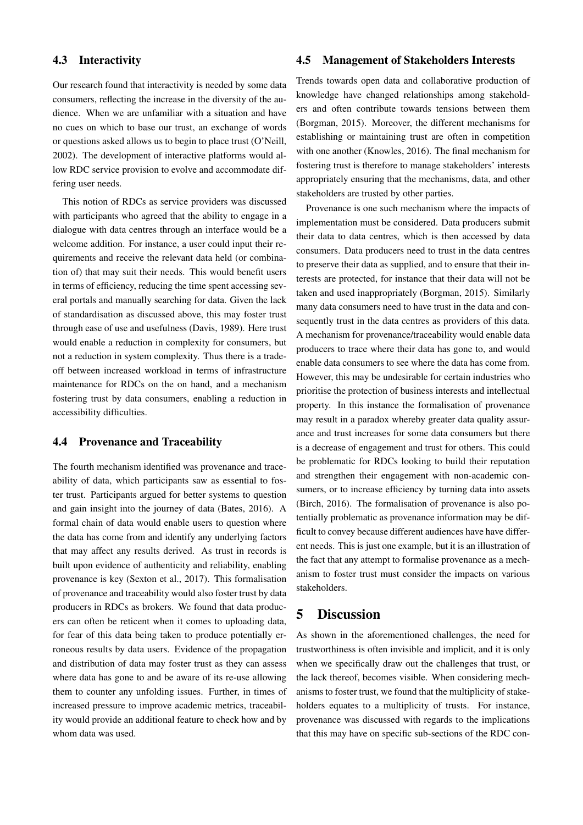#### 4.3 Interactivity

Our research found that interactivity is needed by some data consumers, reflecting the increase in the diversity of the audience. When we are unfamiliar with a situation and have no cues on which to base our trust, an exchange of words or questions asked allows us to begin to place trust (O'Neill, 2002). The development of interactive platforms would allow RDC service provision to evolve and accommodate differing user needs.

This notion of RDCs as service providers was discussed with participants who agreed that the ability to engage in a dialogue with data centres through an interface would be a welcome addition. For instance, a user could input their requirements and receive the relevant data held (or combination of) that may suit their needs. This would benefit users in terms of efficiency, reducing the time spent accessing several portals and manually searching for data. Given the lack of standardisation as discussed above, this may foster trust through ease of use and usefulness (Davis, 1989). Here trust would enable a reduction in complexity for consumers, but not a reduction in system complexity. Thus there is a tradeoff between increased workload in terms of infrastructure maintenance for RDCs on the on hand, and a mechanism fostering trust by data consumers, enabling a reduction in accessibility difficulties.

#### 4.4 Provenance and Traceability

The fourth mechanism identified was provenance and traceability of data, which participants saw as essential to foster trust. Participants argued for better systems to question and gain insight into the journey of data (Bates, 2016). A formal chain of data would enable users to question where the data has come from and identify any underlying factors that may affect any results derived. As trust in records is built upon evidence of authenticity and reliability, enabling provenance is key (Sexton et al., 2017). This formalisation of provenance and traceability would also foster trust by data producers in RDCs as brokers. We found that data producers can often be reticent when it comes to uploading data, for fear of this data being taken to produce potentially erroneous results by data users. Evidence of the propagation and distribution of data may foster trust as they can assess where data has gone to and be aware of its re-use allowing them to counter any unfolding issues. Further, in times of increased pressure to improve academic metrics, traceability would provide an additional feature to check how and by whom data was used.

#### 4.5 Management of Stakeholders Interests

Trends towards open data and collaborative production of knowledge have changed relationships among stakeholders and often contribute towards tensions between them (Borgman, 2015). Moreover, the different mechanisms for establishing or maintaining trust are often in competition with one another (Knowles, 2016). The final mechanism for fostering trust is therefore to manage stakeholders' interests appropriately ensuring that the mechanisms, data, and other stakeholders are trusted by other parties.

Provenance is one such mechanism where the impacts of implementation must be considered. Data producers submit their data to data centres, which is then accessed by data consumers. Data producers need to trust in the data centres to preserve their data as supplied, and to ensure that their interests are protected, for instance that their data will not be taken and used inappropriately (Borgman, 2015). Similarly many data consumers need to have trust in the data and consequently trust in the data centres as providers of this data. A mechanism for provenance/traceability would enable data producers to trace where their data has gone to, and would enable data consumers to see where the data has come from. However, this may be undesirable for certain industries who prioritise the protection of business interests and intellectual property. In this instance the formalisation of provenance may result in a paradox whereby greater data quality assurance and trust increases for some data consumers but there is a decrease of engagement and trust for others. This could be problematic for RDCs looking to build their reputation and strengthen their engagement with non-academic consumers, or to increase efficiency by turning data into assets (Birch, 2016). The formalisation of provenance is also potentially problematic as provenance information may be difficult to convey because different audiences have have different needs. This is just one example, but it is an illustration of the fact that any attempt to formalise provenance as a mechanism to foster trust must consider the impacts on various stakeholders.

## 5 Discussion

As shown in the aforementioned challenges, the need for trustworthiness is often invisible and implicit, and it is only when we specifically draw out the challenges that trust, or the lack thereof, becomes visible. When considering mechanisms to foster trust, we found that the multiplicity of stakeholders equates to a multiplicity of trusts. For instance, provenance was discussed with regards to the implications that this may have on specific sub-sections of the RDC con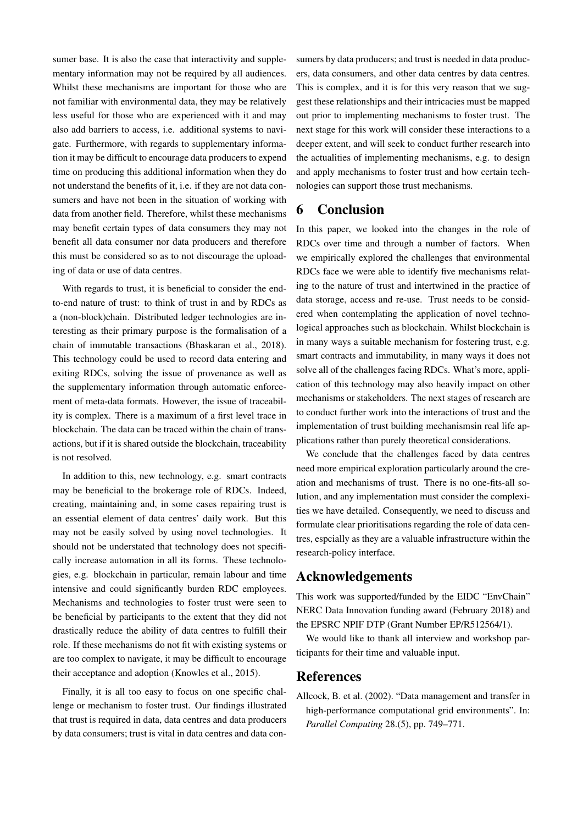sumer base. It is also the case that interactivity and supplementary information may not be required by all audiences. Whilst these mechanisms are important for those who are not familiar with environmental data, they may be relatively less useful for those who are experienced with it and may also add barriers to access, i.e. additional systems to navigate. Furthermore, with regards to supplementary information it may be difficult to encourage data producers to expend time on producing this additional information when they do not understand the benefits of it, i.e. if they are not data consumers and have not been in the situation of working with data from another field. Therefore, whilst these mechanisms may benefit certain types of data consumers they may not benefit all data consumer nor data producers and therefore this must be considered so as to not discourage the uploading of data or use of data centres.

With regards to trust, it is beneficial to consider the endto-end nature of trust: to think of trust in and by RDCs as a (non-block)chain. Distributed ledger technologies are interesting as their primary purpose is the formalisation of a chain of immutable transactions (Bhaskaran et al., 2018). This technology could be used to record data entering and exiting RDCs, solving the issue of provenance as well as the supplementary information through automatic enforcement of meta-data formats. However, the issue of traceability is complex. There is a maximum of a first level trace in blockchain. The data can be traced within the chain of transactions, but if it is shared outside the blockchain, traceability is not resolved.

In addition to this, new technology, e.g. smart contracts may be beneficial to the brokerage role of RDCs. Indeed, creating, maintaining and, in some cases repairing trust is an essential element of data centres' daily work. But this may not be easily solved by using novel technologies. It should not be understated that technology does not specifically increase automation in all its forms. These technologies, e.g. blockchain in particular, remain labour and time intensive and could significantly burden RDC employees. Mechanisms and technologies to foster trust were seen to be beneficial by participants to the extent that they did not drastically reduce the ability of data centres to fulfill their role. If these mechanisms do not fit with existing systems or are too complex to navigate, it may be difficult to encourage their acceptance and adoption (Knowles et al., 2015).

Finally, it is all too easy to focus on one specific challenge or mechanism to foster trust. Our findings illustrated that trust is required in data, data centres and data producers by data consumers; trust is vital in data centres and data consumers by data producers; and trust is needed in data producers, data consumers, and other data centres by data centres. This is complex, and it is for this very reason that we suggest these relationships and their intricacies must be mapped out prior to implementing mechanisms to foster trust. The next stage for this work will consider these interactions to a deeper extent, and will seek to conduct further research into the actualities of implementing mechanisms, e.g. to design and apply mechanisms to foster trust and how certain technologies can support those trust mechanisms.

## 6 Conclusion

In this paper, we looked into the changes in the role of RDCs over time and through a number of factors. When we empirically explored the challenges that environmental RDCs face we were able to identify five mechanisms relating to the nature of trust and intertwined in the practice of data storage, access and re-use. Trust needs to be considered when contemplating the application of novel technological approaches such as blockchain. Whilst blockchain is in many ways a suitable mechanism for fostering trust, e.g. smart contracts and immutability, in many ways it does not solve all of the challenges facing RDCs. What's more, application of this technology may also heavily impact on other mechanisms or stakeholders. The next stages of research are to conduct further work into the interactions of trust and the implementation of trust building mechanismsin real life applications rather than purely theoretical considerations.

We conclude that the challenges faced by data centres need more empirical exploration particularly around the creation and mechanisms of trust. There is no one-fits-all solution, and any implementation must consider the complexities we have detailed. Consequently, we need to discuss and formulate clear prioritisations regarding the role of data centres, espcially as they are a valuable infrastructure within the research-policy interface.

## Acknowledgements

This work was supported/funded by the EIDC "EnvChain" NERC Data Innovation funding award (February 2018) and the EPSRC NPIF DTP (Grant Number EP/R512564/1).

We would like to thank all interview and workshop participants for their time and valuable input.

## References

Allcock, B. et al. (2002). "Data management and transfer in high-performance computational grid environments". In: *Parallel Computing* 28.(5), pp. 749–771.